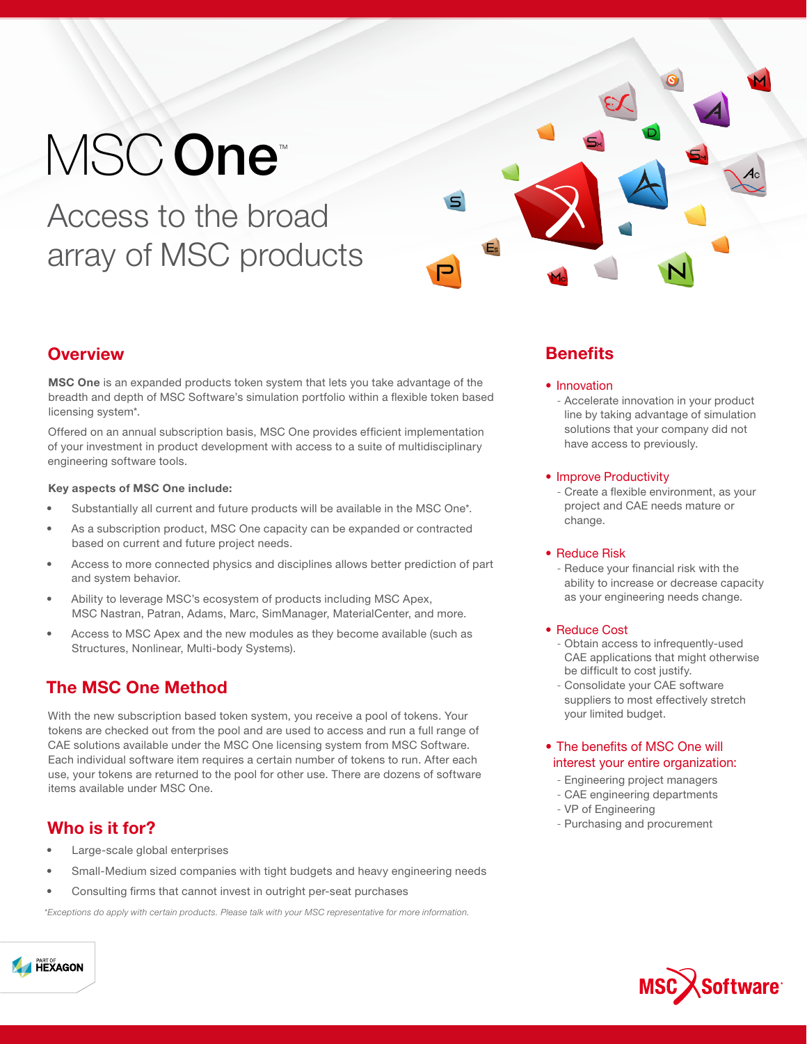# MSCOne<sup>®</sup>

Access to the broad array of MSC products



## **Overview**

**MSC One** is an expanded products token system that lets you take advantage of the breadth and depth of MSC Software's simulation portfolio within a flexible token based licensing system\*.

Offered on an annual subscription basis, MSC One provides efficient implementation of your investment in product development with access to a suite of multidisciplinary engineering software tools.

### Key aspects of MSC One include:

- Substantially all current and future products will be available in the MSC One\*.
- As a subscription product, MSC One capacity can be expanded or contracted based on current and future project needs.
- Access to more connected physics and disciplines allows better prediction of part and system behavior.
- Ability to leverage MSC's ecosystem of products including MSC Apex, MSC Nastran, Patran, Adams, Marc, SimManager, MaterialCenter, and more.
- Access to MSC Apex and the new modules as they become available (such as Structures, Nonlinear, Multi-body Systems).

# The MSC One Method

With the new subscription based token system, you receive a pool of tokens. Your tokens are checked out from the pool and are used to access and run a full range of CAE solutions available under the MSC One licensing system from MSC Software. Each individual software item requires a certain number of tokens to run. After each use, your tokens are returned to the pool for other use. There are dozens of software items available under MSC One.

## Who is it for?

- Large-scale global enterprises
- Small-Medium sized companies with tight budgets and heavy engineering needs
- Consulting firms that cannot invest in outright per-seat purchases

\*Exceptions do apply with certain products. Please talk with your MSC representative for more information.

# **Benefits**

- Innovation
- Accelerate innovation in your product line by taking advantage of simulation solutions that your company did not have access to previously.

#### • Improve Productivity

- Create a flexible environment, as your project and CAE needs mature or change.

#### • Reduce Risk

- Reduce your financial risk with the ability to increase or decrease capacity as your engineering needs change.

#### • Reduce Cost

- Obtain access to infrequently-used CAE applications that might otherwise be difficult to cost justify.
- Consolidate your CAE software suppliers to most effectively stretch your limited budget.

### • The benefits of MSC One will interest your entire organization:

- Engineering project managers
- CAE engineering departments
- VP of Engineering
- Purchasing and procurement